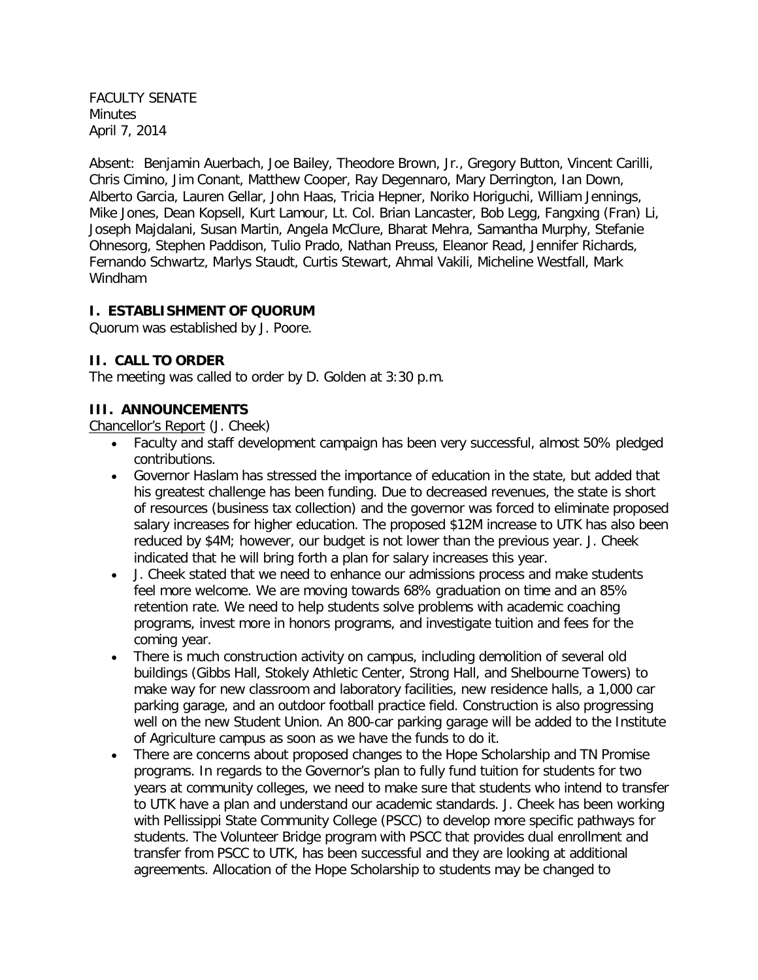FACULTY SENATE **Minutes** April 7, 2014

Absent: Benjamin Auerbach, Joe Bailey, Theodore Brown, Jr., Gregory Button, Vincent Carilli, Chris Cimino, Jim Conant, Matthew Cooper, Ray Degennaro, Mary Derrington, Ian Down, Alberto Garcia, Lauren Gellar, John Haas, Tricia Hepner, Noriko Horiguchi, William Jennings, Mike Jones, Dean Kopsell, Kurt Lamour, Lt. Col. Brian Lancaster, Bob Legg, Fangxing (Fran) Li, Joseph Majdalani, Susan Martin, Angela McClure, Bharat Mehra, Samantha Murphy, Stefanie Ohnesorg, Stephen Paddison, Tulio Prado, Nathan Preuss, Eleanor Read, Jennifer Richards, Fernando Schwartz, Marlys Staudt, Curtis Stewart, Ahmal Vakili, Micheline Westfall, Mark Windham

#### **I. ESTABLISHMENT OF QUORUM**

Quorum was established by J. Poore.

#### **II. CALL TO ORDER**

The meeting was called to order by D. Golden at 3:30 p.m.

#### **III. ANNOUNCEMENTS**

Chancellor's Report (J. Cheek)

- Faculty and staff development campaign has been very successful, almost 50% pledged contributions.
- Governor Haslam has stressed the importance of education in the state, but added that his greatest challenge has been funding. Due to decreased revenues, the state is short of resources (business tax collection) and the governor was forced to eliminate proposed salary increases for higher education. The proposed \$12M increase to UTK has also been reduced by \$4M; however, our budget is not lower than the previous year. J. Cheek indicated that he will bring forth a plan for salary increases this year.
- J. Cheek stated that we need to enhance our admissions process and make students feel more welcome. We are moving towards 68% graduation on time and an 85% retention rate. We need to help students solve problems with academic coaching programs, invest more in honors programs, and investigate tuition and fees for the coming year.
- There is much construction activity on campus, including demolition of several old buildings (Gibbs Hall, Stokely Athletic Center, Strong Hall, and Shelbourne Towers) to make way for new classroom and laboratory facilities, new residence halls, a 1,000 car parking garage, and an outdoor football practice field. Construction is also progressing well on the new Student Union. An 800-car parking garage will be added to the Institute of Agriculture campus as soon as we have the funds to do it.
- There are concerns about proposed changes to the Hope Scholarship and TN Promise programs. In regards to the Governor's plan to fully fund tuition for students for two years at community colleges, we need to make sure that students who intend to transfer to UTK have a plan and understand our academic standards. J. Cheek has been working with Pellissippi State Community College (PSCC) to develop more specific pathways for students. The Volunteer Bridge program with PSCC that provides dual enrollment and transfer from PSCC to UTK, has been successful and they are looking at additional agreements. Allocation of the Hope Scholarship to students may be changed to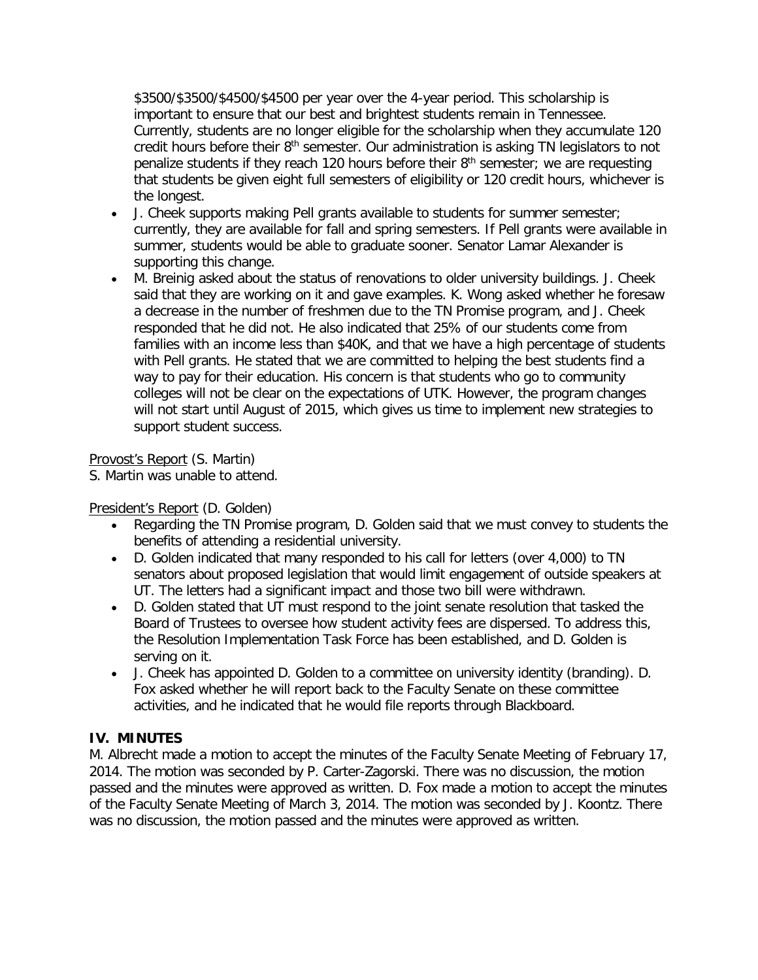\$3500/\$3500/\$4500/\$4500 per year over the 4-year period. This scholarship is important to ensure that our best and brightest students remain in Tennessee. Currently, students are no longer eligible for the scholarship when they accumulate 120 credit hours before their 8<sup>th</sup> semester. Our administration is asking TN legislators to not penalize students if they reach 120 hours before their  $8<sup>th</sup>$  semester; we are requesting that students be given eight full semesters of eligibility or 120 credit hours, whichever is the longest.

- J. Cheek supports making Pell grants available to students for summer semester; currently, they are available for fall and spring semesters. If Pell grants were available in summer, students would be able to graduate sooner. Senator Lamar Alexander is supporting this change.
- M. Breinig asked about the status of renovations to older university buildings. J. Cheek said that they are working on it and gave examples. K. Wong asked whether he foresaw a decrease in the number of freshmen due to the TN Promise program, and J. Cheek responded that he did not. He also indicated that 25% of our students come from families with an income less than \$40K, and that we have a high percentage of students with Pell grants. He stated that we are committed to helping the best students find a way to pay for their education. His concern is that students who go to community colleges will not be clear on the expectations of UTK. However, the program changes will not start until August of 2015, which gives us time to implement new strategies to support student success.

## Provost's Report (S. Martin)

S. Martin was unable to attend.

#### President's Report (D. Golden)

- Regarding the TN Promise program, D. Golden said that we must convey to students the benefits of attending a residential university.
- D. Golden indicated that many responded to his call for letters (over 4,000) to TN senators about proposed legislation that would limit engagement of outside speakers at UT. The letters had a significant impact and those two bill were withdrawn.
- D. Golden stated that UT must respond to the joint senate resolution that tasked the Board of Trustees to oversee how student activity fees are dispersed. To address this, the Resolution Implementation Task Force has been established, and D. Golden is serving on it.
- J. Cheek has appointed D. Golden to a committee on university identity (branding). D. Fox asked whether he will report back to the Faculty Senate on these committee activities, and he indicated that he would file reports through Blackboard.

## **IV. MINUTES**

M. Albrecht made a motion to accept the minutes of the Faculty Senate Meeting of February 17, 2014. The motion was seconded by P. Carter-Zagorski. There was no discussion, the motion passed and the minutes were approved as written. D. Fox made a motion to accept the minutes of the Faculty Senate Meeting of March 3, 2014. The motion was seconded by J. Koontz. There was no discussion, the motion passed and the minutes were approved as written.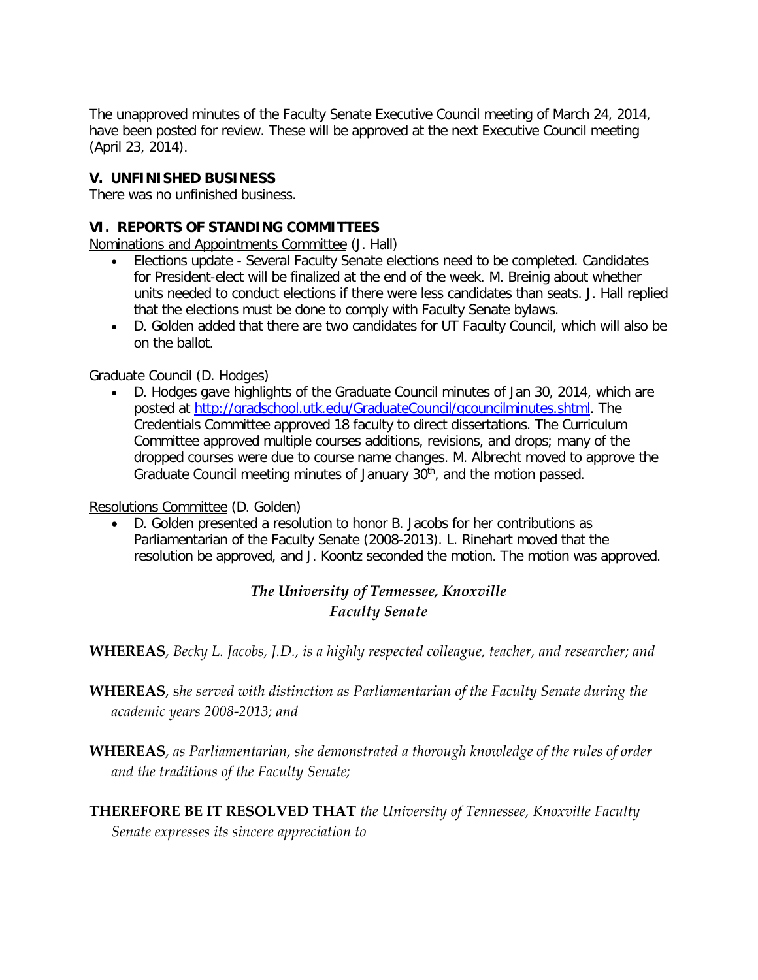The unapproved minutes of the Faculty Senate Executive Council meeting of March 24, 2014, have been posted for review. These will be approved at the next Executive Council meeting (April 23, 2014).

## **V. UNFINISHED BUSINESS**

There was no unfinished business.

## **VI. REPORTS OF STANDING COMMITTEES**

Nominations and Appointments Committee (J. Hall)

- Elections update Several Faculty Senate elections need to be completed. Candidates for President-elect will be finalized at the end of the week. M. Breinig about whether units needed to conduct elections if there were less candidates than seats. J. Hall replied that the elections must be done to comply with Faculty Senate bylaws.
- D. Golden added that there are two candidates for UT Faculty Council, which will also be on the ballot.

#### Graduate Council (D. Hodges)

• D. Hodges gave highlights of the Graduate Council minutes of Jan 30, 2014, which are posted at [http://gradschool.utk.edu/GraduateCouncil/gcouncilminutes.shtml.](http://gradschool.utk.edu/GraduateCouncil/gcouncilminutes.shtml) The Credentials Committee approved 18 faculty to direct dissertations. The Curriculum Committee approved multiple courses additions, revisions, and drops; many of the dropped courses were due to course name changes. M. Albrecht moved to approve the Graduate Council meeting minutes of January 30<sup>th</sup>, and the motion passed.

#### Resolutions Committee (D. Golden)

• D. Golden presented a resolution to honor B. Jacobs for her contributions as Parliamentarian of the Faculty Senate (2008-2013). L. Rinehart moved that the resolution be approved, and J. Koontz seconded the motion. The motion was approved.

# *The University of Tennessee, Knoxville Faculty Senate*

**WHEREAS**, *Becky L. Jacobs, J.D., is a highly respected colleague, teacher, and researcher; and*

- **WHEREAS**, s*he served with distinction as Parliamentarian of the Faculty Senate during the academic years 2008-2013; and*
- **WHEREAS**, *as Parliamentarian, she demonstrated a thorough knowledge of the rules of order and the traditions of the Faculty Senate;*
- **THEREFORE BE IT RESOLVED THAT** *the University of Tennessee, Knoxville Faculty Senate expresses its sincere appreciation to*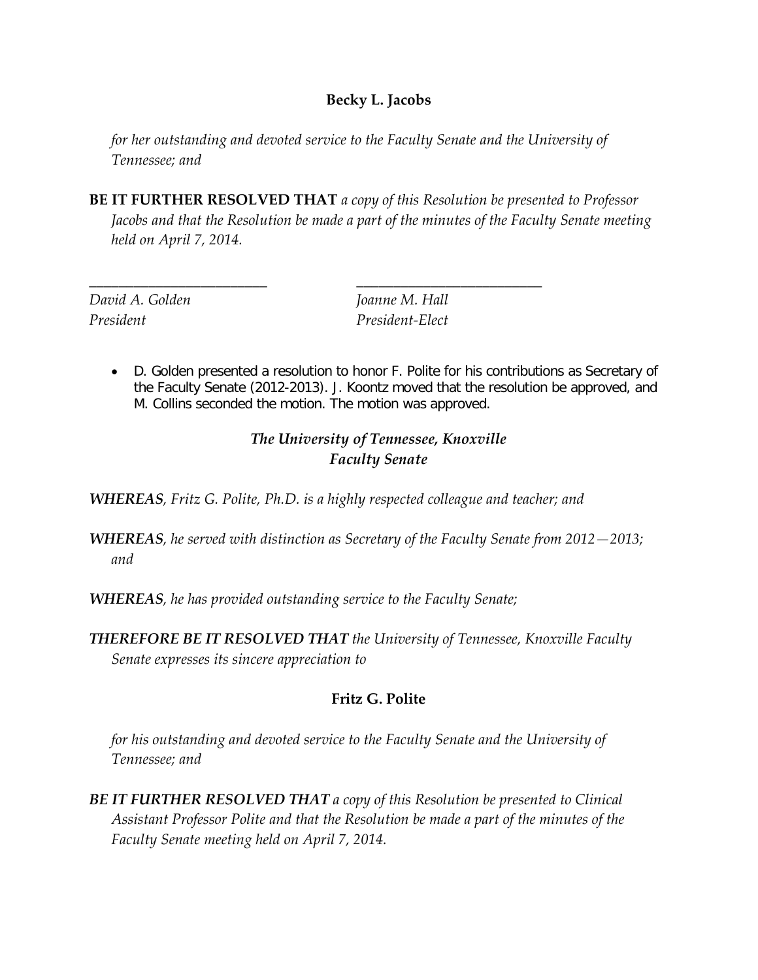## **Becky L. Jacobs**

*for her outstanding and devoted service to the Faculty Senate and the University of Tennessee; and*

**BE IT FURTHER RESOLVED THAT** *a copy of this Resolution be presented to Professor Jacobs and that the Resolution be made a part of the minutes of the Faculty Senate meeting held on April 7, 2014.*

*President President-Elect*

*David A. Golden Joanne M. Hall* 

• D. Golden presented a resolution to honor F. Polite for his contributions as Secretary of the Faculty Senate (2012-2013). J. Koontz moved that the resolution be approved, and M. Collins seconded the motion. The motion was approved.

# *The University of Tennessee, Knoxville Faculty Senate*

*WHEREAS, Fritz G. Polite, Ph.D. is a highly respected colleague and teacher; and*

\_\_\_\_\_\_\_\_\_\_\_\_\_\_\_\_\_\_\_\_\_\_\_\_ \_\_\_\_\_\_\_\_\_\_\_\_\_\_\_\_\_\_\_\_\_\_\_\_\_

- *WHEREAS, he served with distinction as Secretary of the Faculty Senate from 2012—2013; and*
- *WHEREAS, he has provided outstanding service to the Faculty Senate;*
- *THEREFORE BE IT RESOLVED THAT the University of Tennessee, Knoxville Faculty Senate expresses its sincere appreciation to*

# **Fritz G. Polite**

*for his outstanding and devoted service to the Faculty Senate and the University of Tennessee; and*

*BE IT FURTHER RESOLVED THAT a copy of this Resolution be presented to Clinical Assistant Professor Polite and that the Resolution be made a part of the minutes of the Faculty Senate meeting held on April 7, 2014.*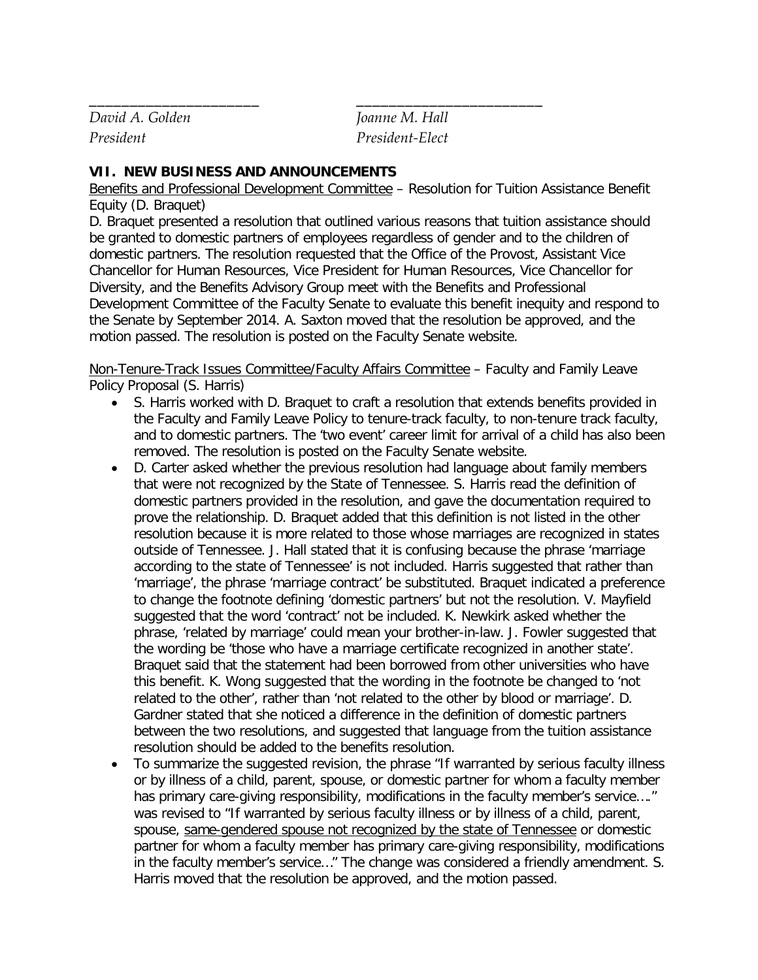*David A. Golden Joanne M. Hall President President-Elect*

#### **VII. NEW BUSINESS AND ANNOUNCEMENTS**

Benefits and Professional Development Committee – Resolution for Tuition Assistance Benefit Equity (D. Braquet)

\_\_\_\_\_\_\_\_\_\_\_\_\_\_\_\_\_\_\_\_\_ \_\_\_\_\_\_\_\_\_\_\_\_\_\_\_\_\_\_\_\_\_\_\_

D. Braquet presented a resolution that outlined various reasons that tuition assistance should be granted to domestic partners of employees regardless of gender and to the children of domestic partners. The resolution requested that the Office of the Provost, Assistant Vice Chancellor for Human Resources, Vice President for Human Resources, Vice Chancellor for Diversity, and the Benefits Advisory Group meet with the Benefits and Professional Development Committee of the Faculty Senate to evaluate this benefit inequity and respond to the Senate by September 2014. A. Saxton moved that the resolution be approved, and the motion passed. The resolution is posted on the Faculty Senate website.

Non-Tenure-Track Issues Committee/Faculty Affairs Committee – Faculty and Family Leave Policy Proposal (S. Harris)

- S. Harris worked with D. Braquet to craft a resolution that extends benefits provided in the Faculty and Family Leave Policy to tenure-track faculty, to non-tenure track faculty, and to domestic partners. The 'two event' career limit for arrival of a child has also been removed. The resolution is posted on the Faculty Senate website.
- D. Carter asked whether the previous resolution had language about family members that were not recognized by the State of Tennessee. S. Harris read the definition of domestic partners provided in the resolution, and gave the documentation required to prove the relationship. D. Braquet added that this definition is not listed in the other resolution because it is more related to those whose marriages are recognized in states outside of Tennessee. J. Hall stated that it is confusing because the phrase 'marriage according to the state of Tennessee' is not included. Harris suggested that rather than 'marriage', the phrase 'marriage contract' be substituted. Braquet indicated a preference to change the footnote defining 'domestic partners' but not the resolution. V. Mayfield suggested that the word 'contract' not be included. K. Newkirk asked whether the phrase, 'related by marriage' could mean your brother-in-law. J. Fowler suggested that the wording be 'those who have a marriage certificate recognized in another state'. Braquet said that the statement had been borrowed from other universities who have this benefit. K. Wong suggested that the wording in the footnote be changed to 'not related to the other', rather than 'not related to the other by blood or marriage'. D. Gardner stated that she noticed a difference in the definition of domestic partners between the two resolutions, and suggested that language from the tuition assistance resolution should be added to the benefits resolution.
- To summarize the suggested revision, the phrase "If warranted by serious faculty illness or by illness of a child, parent, spouse, or domestic partner for whom a faculty member has primary care-giving responsibility, modifications in the faculty member's service...." was revised to "If warranted by serious faculty illness or by illness of a child, parent, spouse, same-gendered spouse not recognized by the state of Tennessee or domestic partner for whom a faculty member has primary care-giving responsibility, modifications in the faculty member's service…" The change was considered a friendly amendment. S. Harris moved that the resolution be approved, and the motion passed.